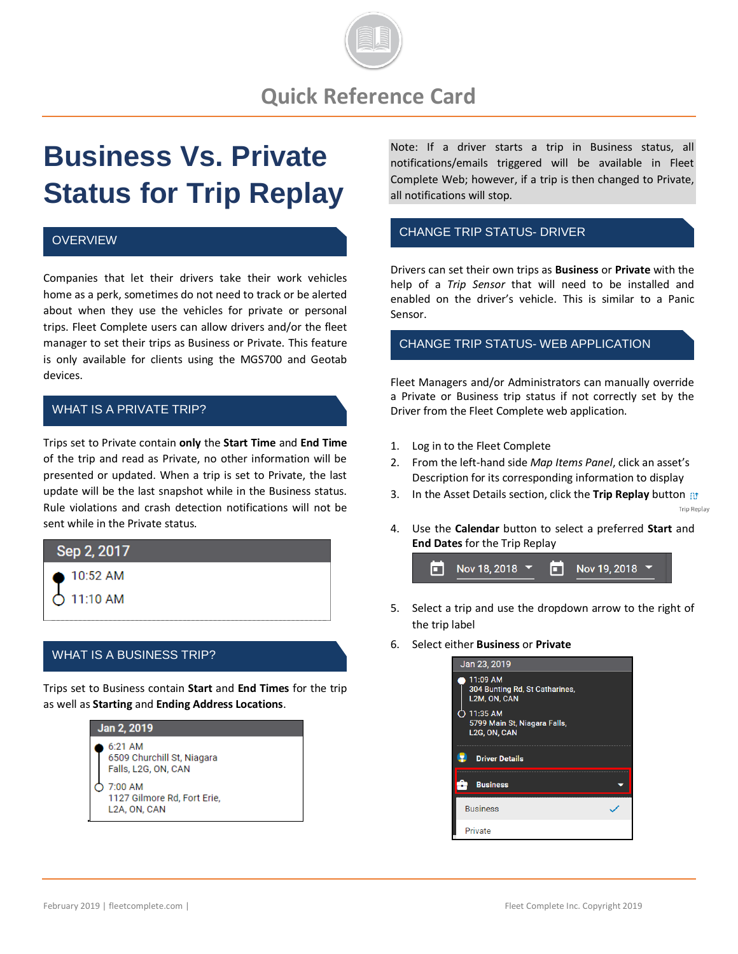

# **Business Vs. Private Status for Trip Replay**

#### **OVERVIEW**

Companies that let their drivers take their work vehicles home as a perk, sometimes do not need to track or be alerted about when they use the vehicles for private or personal trips. Fleet Complete users can allow drivers and/or the fleet manager to set their trips as Business or Private. This feature is only available for clients using the MGS700 and Geotab devices.

### WHAT IS A PRIVATE TRIP?

Trips set to Private contain **only** the **Start Time** and **End Time** of the trip and read as Private, no other information will be presented or updated. When a trip is set to Private, the last update will be the last snapshot while in the Business status. Rule violations and crash detection notifications will not be sent while in the Private status.



## WHAT IS A BUSINESS TRIP?

Trips set to Business contain **Start** and **End Times** for the trip as well as **Starting** and **Ending Address Locations**.



Note: If a driver starts a trip in Business status, all notifications/emails triggered will be available in Fleet Complete Web; however, if a trip is then changed to Private, all notifications will stop.

#### CHANGE TRIP STATUS- DRIVER

Drivers can set their own trips as **Business** or **Private** with the help of a *Trip Sensor* that will need to be installed and enabled on the driver's vehicle. This is similar to a Panic Sensor.

#### CHANGE TRIP STATUS- WEB APPLICATION

Fleet Managers and/or Administrators can manually override a Private or Business trip status if not correctly set by the Driver from the Fleet Complete web application.

- 1. Log in to the Fleet Complete
- 2. From the left-hand side *Map Items Panel*, click an asset's Description for its corresponding information to display
- 3. In the Asset Details section, click the **Trip Replay** button **Trip Replay**
- 4. Use the **Calendar** button to select a preferred **Start** and **End Dates** for the Trip Replay



- 5. Select a trip and use the dropdown arrow to the right of the trip label
- 6. Select either **Business** or **Private**